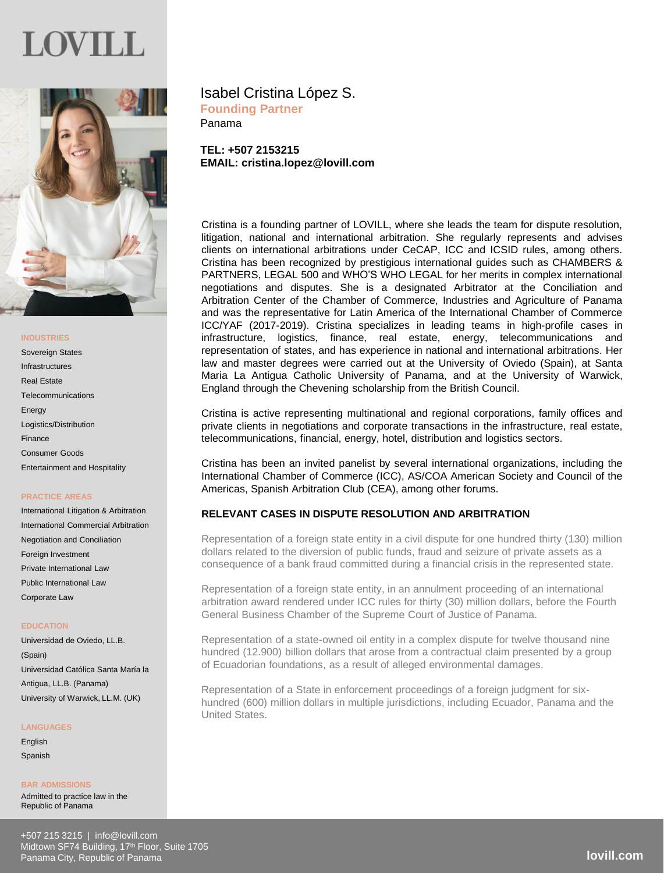# JOV I LL



# **INDUSTRIES**

Sovereign States Infrastructures Real Estate **Telecommunications Energy** Logistics/Distribution Finance Consumer Goods Entertainment and Hospitality

### **PRACTICE AREAS**

International Litigation & Arbitration International Commercial Arbitration Negotiation and Conciliation Foreign Investment Private International Law Public International Law Corporate Law

### **EDUCATION**

Universidad de Oviedo, LL.B. (Spain) Universidad Católica Santa María la Antigua, LL.B. (Panama) University of Warwick, LL.M. (UK)

#### **LANGUAGES**

English Spanish

**BAR ADMISSIONS** Admitted to practice law in the Republic of Panama

Panama

**TEL: +507 2153215 EMAIL: cristina.lopez@lovill.com**

Cristina is a founding partner of LOVILL, where she leads the team for dispute resolution, litigation, national and international arbitration. She regularly represents and advises clients on international arbitrations under CeCAP, ICC and ICSID rules, among others. Cristina has been recognized by prestigious international guides such as CHAMBERS & PARTNERS, LEGAL 500 and WHO'S WHO LEGAL for her merits in complex international negotiations and disputes. She is a designated Arbitrator at the Conciliation and Arbitration Center of the Chamber of Commerce, Industries and Agriculture of Panama and was the representative for Latin America of the International Chamber of Commerce ICC/YAF (2017-2019). Cristina specializes in leading teams in high-profile cases in infrastructure, logistics, finance, real estate, energy, telecommunications and representation of states, and has experience in national and international arbitrations. Her law and master degrees were carried out at the University of Oviedo (Spain), at Santa Maria La Antigua Catholic University of Panama, and at the University of Warwick, England through the Chevening scholarship from the British Council.

Cristina is active representing multinational and regional corporations, family offices and private clients in negotiations and corporate transactions in the infrastructure, real estate, telecommunications, financial, energy, hotel, distribution and logistics sectors.

Cristina has been an invited panelist by several international organizations, including the International Chamber of Commerce (ICC), AS/COA American Society and Council of the Americas, Spanish Arbitration Club (CEA), among other forums.

# **RELEVANT CASES IN DISPUTE RESOLUTION AND ARBITRATION**

Representation of a foreign state entity in a civil dispute for one hundred thirty (130) million dollars related to the diversion of public funds, fraud and seizure of private assets as a consequence of a bank fraud committed during a financial crisis in the represented state.

Representation of a foreign state entity, in an annulment proceeding of an international arbitration award rendered under ICC rules for thirty (30) million dollars, before the Fourth General Business Chamber of the Supreme Court of Justice of Panama.

Representation of a state-owned oil entity in a complex dispute for twelve thousand nine hundred (12.900) billion dollars that arose from a contractual claim presented by a group of Ecuadorian foundations, as a result of alleged environmental damages.

Representation of a State in enforcement proceedings of a foreign judgment for sixhundred (600) million dollars in multiple jurisdictions, including Ecuador, Panama and the United States.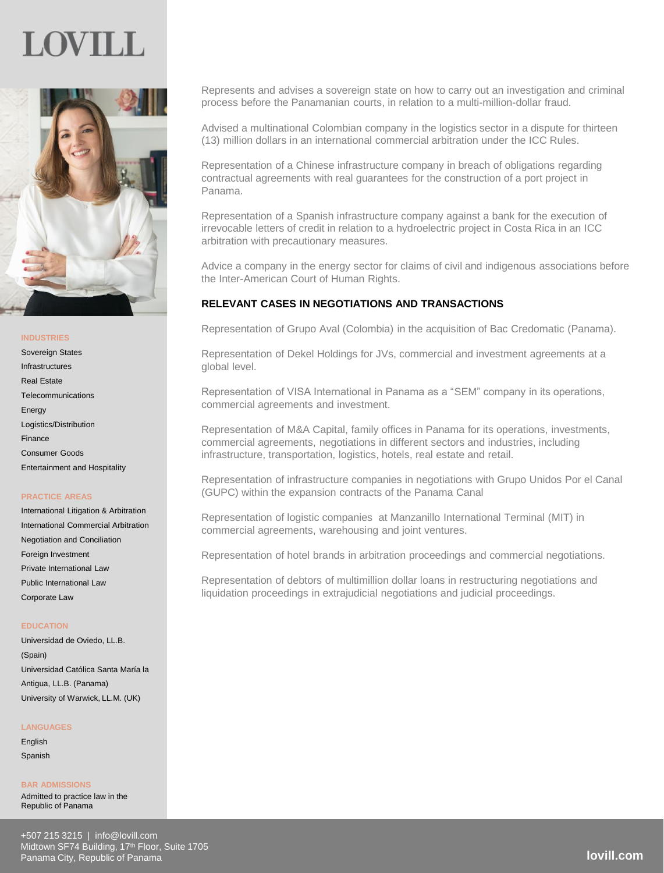# JOVIL I



# **INDUSTRIES**

Sovereign States Infrastructures Real Estate Telecommunications Energy Logistics/Distribution Finance Consumer Goods Entertainment and Hospitality

### **PRACTICE AREAS**

International Litigation & Arbitration International Commercial Arbitration Negotiation and Conciliation Foreign Investment Private International Law Public International Law Corporate Law

#### **EDUCATION**

Universidad de Oviedo, LL.B. (Spain) Universidad Católica Santa María la Antigua, LL.B. (Panama) University of Warwick, LL.M. (UK)

# **LANGUAGES**

English Spanish

**BAR ADMISSIONS** Admitted to practice law in the Republic of Panama

Represents and advises a sovereign state on how to carry out an investigation and criminal process before the Panamanian courts, in relation to a multi-million-dollar fraud.

Advised a multinational Colombian company in the logistics sector in a dispute for thirteen (13) million dollars in an international commercial arbitration under the ICC Rules.

Representation of a Chinese infrastructure company in breach of obligations regarding contractual agreements with real guarantees for the construction of a port project in Panama.

Representation of a Spanish infrastructure company against a bank for the execution of irrevocable letters of credit in relation to a hydroelectric project in Costa Rica in an ICC arbitration with precautionary measures.

Advice a company in the energy sector for claims of civil and indigenous associations before the Inter-American Court of Human Rights.

# **RELEVANT CASES IN NEGOTIATIONS AND TRANSACTIONS**

Representation of Grupo Aval (Colombia) in the acquisition of Bac Credomatic (Panama).

Representation of Dekel Holdings for JVs, commercial and investment agreements at a global level.

Representation of VISA International in Panama as a "SEM" company in its operations, commercial agreements and investment.

Representation of M&A Capital, family offices in Panama for its operations, investments, commercial agreements, negotiations in different sectors and industries, including infrastructure, transportation, logistics, hotels, real estate and retail.

Representation of infrastructure companies in negotiations with Grupo Unidos Por el Canal (GUPC) within the expansion contracts of the Panama Canal

Representation of logistic companies at Manzanillo International Terminal (MIT) in commercial agreements, warehousing and joint ventures.

Representation of hotel brands in arbitration proceedings and commercial negotiations.

Representation of debtors of multimillion dollar loans in restructuring negotiations and liquidation proceedings in extrajudicial negotiations and judicial proceedings.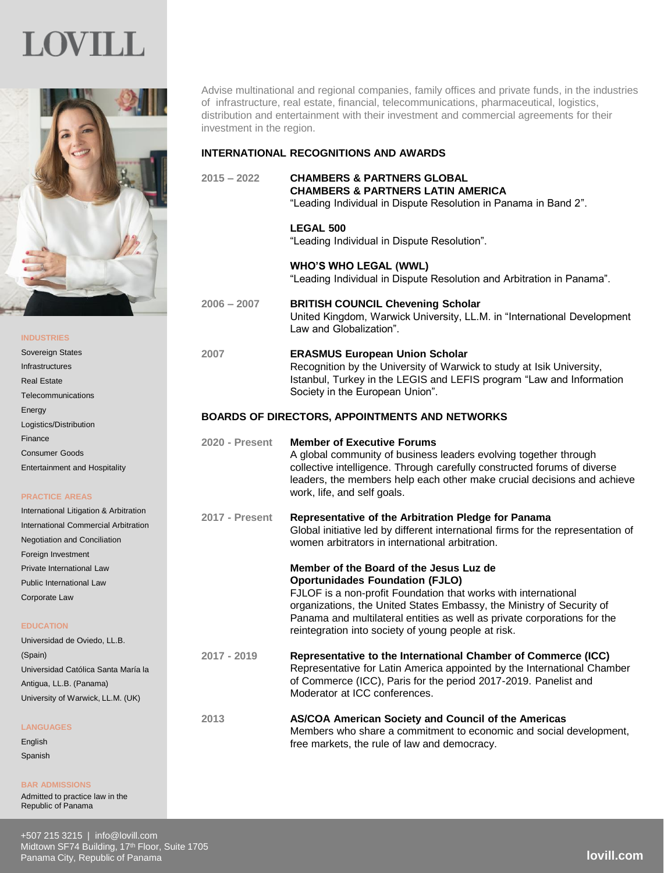

Advise multinational and regional companies, family offices and private funds, in the industries of infrastructure, real estate, financial, telecommunications, pharmaceutical, logistics, distribution and entertainment with their investment and commercial agreements for their investment in the region.

# **INTERNATIONAL RECOGNITIONS AND AWARDS**

**2015 – 2022 CHAMBERS & PARTNERS GLOBAL CHAMBERS & PARTNERS LATIN AMERICA** "Leading Individual in Dispute Resolution in Panama in Band 2".

# **LEGAL 500**

"Leading Individual in Dispute Resolution".

**WHO'S WHO LEGAL (WWL)** "Leading Individual in Dispute Resolution and Arbitration in Panama".

**2006 – 2007 BRITISH COUNCIL Chevening Scholar** United Kingdom, Warwick University, LL.M. in "International Development Law and Globalization".

#### Sovereign States Infrastructures Real Estate **Telecommunications Energy** Logistics/Distribution Finance Consumer Goods Entertainment and Hospitality **2007 ERASMUS European Union Scholar** Recognition by the University of Warwick to study at Isik University, Istanbul, Turkey in the LEGIS and LEFIS program "Law and Information Society in the European Union". **BOARDS OF DIRECTORS, APPOINTMENTS AND NETWORKS 2020 - Present Member of Executive Forums** A global community of business leaders evolving together through

# **PRACTICE AREAS**

**INDUSTRIES**

| International Litigation & Arbitration |  |  |  |
|----------------------------------------|--|--|--|
| International Commercial Arbitration   |  |  |  |
| <b>Negotiation and Conciliation</b>    |  |  |  |
| Foreign Investment                     |  |  |  |
| Private International Law              |  |  |  |
| <b>Public International Law</b>        |  |  |  |
| Corporate Law                          |  |  |  |

### **EDUCATION**

| Universidad de Oviedo, LL.B.        |  |  |
|-------------------------------------|--|--|
| (Spain)                             |  |  |
| Universidad Católica Santa María la |  |  |
| Antiqua, LL.B. (Panama)             |  |  |
| University of Warwick, LL.M. (UK)   |  |  |
|                                     |  |  |

# **LANGUAGES**

English Spanish

### **BAR ADMISSIONS**

Admitted to practice law in the Republic of Panama

# collective intelligence. Through carefully constructed forums of diverse leaders, the members help each other make crucial decisions and achieve work, life, and self goals. **2017 - Present Representative of the Arbitration Pledge for Panama** Global initiative led by different international firms for the representation of women arbitrators in international arbitration. **Member of the Board of the Jesus Luz de Oportunidades Foundation (FJLO)**  FJLOF is a non-profit Foundation that works with international organizations, the United States Embassy, the Ministry of Security of Panama and multilateral entities as well as private corporations for the reintegration into society of young people at risk. **2017 - 2019 Representative to the International Chamber of Commerce (ICC)**  Representative for Latin America appointed by the International Chamber of Commerce (ICC), Paris for the period 2017-2019. Panelist and Moderator at ICC conferences. **2013 AS/COA American Society and Council of the Americas** Members who share a commitment to economic and social development, free markets, the rule of law and democracy.